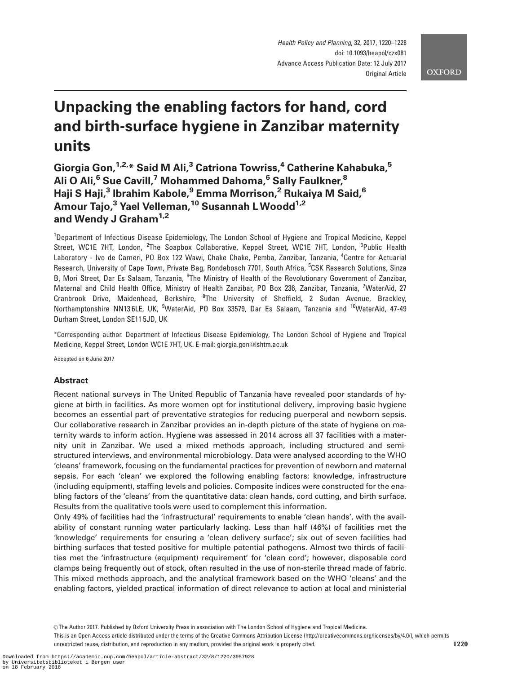# Unpacking the enabling factors for hand, cord and birth-surface hygiene in Zanzibar maternity units

Giorgia Gon,  $1.2.*$  Said M Ali,<sup>3</sup> Catriona Towriss,<sup>4</sup> Catherine Kahabuka,<sup>5</sup> Ali O Ali,<sup>6</sup> Sue Cavill,<sup>7</sup> Mohammed Dahoma,<sup>6</sup> Sally Faulkner,<sup>8</sup> Haji S Haji,<sup>3</sup> Ibrahim Kabole,<sup>9</sup> Emma Morrison,<sup>2</sup> Rukaiya M Said,<sup>6</sup> Amour Tajo,<sup>3</sup> Yael Velleman,<sup>10</sup> Susannah L Woodd<sup>1,2</sup> and Wendy J Graham<sup>1,2</sup>

<sup>1</sup>Department of Infectious Disease Epidemiology, The London School of Hygiene and Tropical Medicine, Keppel Street, WC1E 7HT, London, <sup>2</sup>The Soapbox Collaborative, Keppel Street, WC1E 7HT, London, <sup>3</sup>Public Health Laboratory - Ivo de Carneri, PO Box 122 Wawi, Chake Chake, Pemba, Zanzibar, Tanzania, <sup>4</sup>Centre for Actuarial Research, University of Cape Town, Private Bag, Rondebosch 7701, South Africa, <sup>5</sup>CSK Research Solutions, Sinza B, Mori Street, Dar Es Salaam, Tanzania, <sup>6</sup>The Ministry of Health of the Revolutionary Government of Zanzibar, Maternal and Child Health Office, Ministry of Health Zanzibar, PO Box 236, Zanzibar, Tanzania, <sup>7</sup>WaterAid, 27 Cranbrook Drive, Maidenhead, Berkshire, <sup>8</sup>The University of Sheffield, 2 Sudan Avenue, Brackley, Northamptonshire NN136LE, UK, <sup>9</sup>WaterAid, PO Box 33579, Dar Es Salaam, Tanzania and <sup>10</sup>WaterAid, 47-49 Durham Street, London SE11 5JD, UK

\*Corresponding author. Department of Infectious Disease Epidemiology, The London School of Hygiene and Tropical Medicine, Keppel Street, London WC1E 7HT, UK. E-mail: giorgia.gon@lshtm.ac.uk

Accepted on 6 June 2017

# Abstract

Recent national surveys in The United Republic of Tanzania have revealed poor standards of hygiene at birth in facilities. As more women opt for institutional delivery, improving basic hygiene becomes an essential part of preventative strategies for reducing puerperal and newborn sepsis. Our collaborative research in Zanzibar provides an in-depth picture of the state of hygiene on maternity wards to inform action. Hygiene was assessed in 2014 across all 37 facilities with a maternity unit in Zanzibar. We used a mixed methods approach, including structured and semistructured interviews, and environmental microbiology. Data were analysed according to the WHO 'cleans' framework, focusing on the fundamental practices for prevention of newborn and maternal sepsis. For each 'clean' we explored the following enabling factors: knowledge, infrastructure (including equipment), staffing levels and policies. Composite indices were constructed for the enabling factors of the 'cleans' from the quantitative data: clean hands, cord cutting, and birth surface. Results from the qualitative tools were used to complement this information.

Only 49% of facilities had the 'infrastructural' requirements to enable 'clean hands', with the availability of constant running water particularly lacking. Less than half (46%) of facilities met the 'knowledge' requirements for ensuring a 'clean delivery surface'; six out of seven facilities had birthing surfaces that tested positive for multiple potential pathogens. Almost two thirds of facilities met the 'infrastructure (equipment) requirement' for 'clean cord'; however, disposable cord clamps being frequently out of stock, often resulted in the use of non-sterile thread made of fabric. This mixed methods approach, and the analytical framework based on the WHO 'cleans' and the enabling factors, yielded practical information of direct relevance to action at local and ministerial

This is an Open Access article distributed under the terms of the Creative Commons Attribution License (http://creativecommons.org/licenses/by/4.0/), which permits unrestricted reuse, distribution, and reproduction in any medium, provided the original work is properly cited.  $1220$ 

V<sup>C</sup> The Author 2017. Published by Oxford University Press in association with The London School of Hygiene and Tropical Medicine.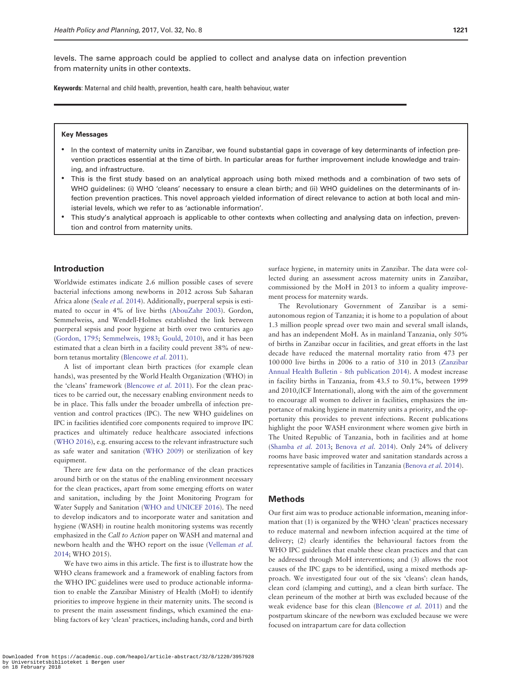levels. The same approach could be applied to collect and analyse data on infection prevention from maternity units in other contexts.

Keywords: Maternal and child health, prevention, health care, health behaviour, water

#### Key Messages

- In the context of maternity units in Zanzibar, we found substantial gaps in coverage of key determinants of infection prevention practices essential at the time of birth. In particular areas for further improvement include knowledge and training, and infrastructure.
- This is the first study based on an analytical approach using both mixed methods and a combination of two sets of WHO guidelines: (i) WHO 'cleans' necessary to ensure a clean birth; and (ii) WHO guidelines on the determinants of infection prevention practices. This novel approach yielded information of direct relevance to action at both local and ministerial levels, which we refer to as 'actionable information'.
- This study's analytical approach is applicable to other contexts when collecting and analysing data on infection, prevention and control from maternity units.

## Introduction

Worldwide estimates indicate 2.6 million possible cases of severe bacterial infections among newborns in 2012 across Sub Saharan Africa alone (Seale et al. [2014](#page-8-0)). Additionally, puerperal sepsis is estimated to occur in 4% of live births ([AbouZahr 2003](#page-7-0)). Gordon, Semmelweiss, and Wendell-Holmes established the link between puerperal sepsis and poor hygiene at birth over two centuries ago ([Gordon, 1795;](#page-8-0) [Semmelweis, 1983](#page-8-0); [Gould, 2010](#page-8-0)), and it has been estimated that a clean birth in a facility could prevent 38% of newborn tetanus mortality ([Blencowe](#page-8-0) et al. 2011).

A list of important clean birth practices (for example clean hands), was presented by the World Health Organization (WHO) in the 'cleans' framework ([Blencowe](#page-8-0) et al. 2011). For the clean practices to be carried out, the necessary enabling environment needs to be in place. This falls under the broader umbrella of infection prevention and control practices (IPC). The new WHO guidelines on IPC in facilities identified core components required to improve IPC practices and ultimately reduce healthcare associated infections ([WHO 2016\)](#page-8-0), e.g. ensuring access to the relevant infrastructure such as safe water and sanitation ([WHO 2009](#page-8-0)) or sterilization of key equipment.

There are few data on the performance of the clean practices around birth or on the status of the enabling environment necessary for the clean practices, apart from some emerging efforts on water and sanitation, including by the Joint Monitoring Program for Water Supply and Sanitation [\(WHO and UNICEF 2016\)](#page-8-0). The need to develop indicators and to incorporate water and sanitation and hygiene (WASH) in routine health monitoring systems was recently emphasized in the Call to Action paper on WASH and maternal and newborn health and the WHO report on the issue [\(Velleman](#page-8-0) et al. [2014;](#page-8-0) WHO 2015).

We have two aims in this article. The first is to illustrate how the WHO cleans framework and a framework of enabling factors from the WHO IPC guidelines were used to produce actionable information to enable the Zanzibar Ministry of Health (MoH) to identify priorities to improve hygiene in their maternity units. The second is to present the main assessment findings, which examined the enabling factors of key 'clean' practices, including hands, cord and birth

surface hygiene, in maternity units in Zanzibar. The data were collected during an assessment across maternity units in Zanzibar, commissioned by the MoH in 2013 to inform a quality improvement process for maternity wards.

The Revolutionary Government of Zanzibar is a semiautonomous region of Tanzania; it is home to a population of about 1.3 million people spread over two main and several small islands, and has an independent MoH. As in mainland Tanzania, only 50% of births in Zanzibar occur in facilities, and great efforts in the last decade have reduced the maternal mortality ratio from 473 per 100 000 live births in 2006 to a ratio of 310 in 2013 ([Zanzibar](#page-8-0) [Annual Health Bulletin - 8th publication 2014\)](#page-8-0). A modest increase in facility births in Tanzania, from 43.5 to 50.1%, between 1999 and 2010,(ICF International), along with the aim of the government to encourage all women to deliver in facilities, emphasizes the importance of making hygiene in maternity units a priority, and the opportunity this provides to prevent infections. Recent publications highlight the poor WASH environment where women give birth in The United Republic of Tanzania, both in facilities and at home ([Shamba](#page-8-0) et al. 2013; [Benova](#page-8-0) et al. 2014). Only 24% of delivery rooms have basic improved water and sanitation standards across a representative sample of facilities in Tanzania ([Benova](#page-8-0) et al. 2014).

## **Methods**

Our first aim was to produce actionable information, meaning information that (1) is organized by the WHO 'clean' practices necessary to reduce maternal and newborn infection acquired at the time of delivery; (2) clearly identifies the behavioural factors from the WHO IPC guidelines that enable these clean practices and that can be addressed through MoH interventions; and (3) allows the root causes of the IPC gaps to be identified, using a mixed methods approach. We investigated four out of the six 'cleans': clean hands, clean cord (clamping and cutting), and a clean birth surface. The clean perineum of the mother at birth was excluded because of the weak evidence base for this clean ([Blencowe](#page-8-0) et al. 2011) and the postpartum skincare of the newborn was excluded because we were focused on intrapartum care for data collection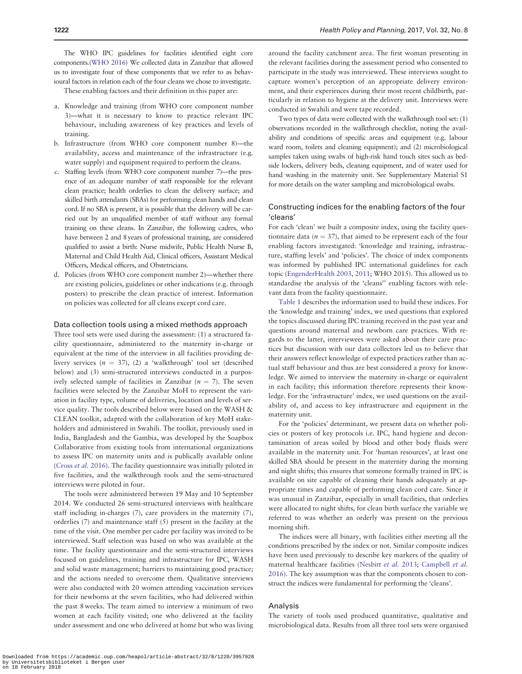The WHO IPC guidelines for facilities identified eight core components.[\(WHO 2016](#page-8-0)) We collected data in Zanzibar that allowed us to investigate four of these components that we refer to as behavioural factors in relation each of the four cleans we chose to investigate.

These enabling factors and their definition in this paper are:

- a. Knowledge and training (from WHO core component number 3)—what it is necessary to know to practice relevant IPC behaviour, including awareness of key practices and levels of training.
- b. Infrastructure (from WHO core component number 8)—the availability, access and maintenance of the infrastructure (e.g. water supply) and equipment required to perform the cleans.
- c. Staffing levels (from WHO core component number 7)—the presence of an adequate number of staff responsible for the relevant clean practice; health orderlies to clean the delivery surface; and skilled birth attendants (SBAs) for performing clean hands and clean cord. If no SBA is present, it is possible that the delivery will be carried out by an unqualified member of staff without any formal training on these cleans. In Zanzibar, the following cadres, who have between 2 and 8years of professional training, are considered qualified to assist a birth: Nurse midwife, Public Health Nurse B, Maternal and Child Health Aid, Clinical officers, Assistant Medical Officers, Medical officers, and Obstetricians.
- d. Policies (from WHO core component number 2)—whether there are existing policies, guidelines or other indications (e.g. through posters) to prescribe the clean practice of interest. Information on policies was collected for all cleans except cord care.

#### Data collection tools using a mixed methods approach

Three tool sets were used during the assessment: (1) a structured facility questionnaire, administered to the maternity in-charge or equivalent at the time of the interview in all facilities providing delivery services ( $n = 37$ ), (2) a 'walkthrough' tool set (described below) and (3) semi-structured interviews conducted in a purposively selected sample of facilities in Zanzibar ( $n = 7$ ). The seven facilities were selected by the Zanzibar MoH to represent the variation in facility type, volume of deliveries, location and levels of service quality. The tools described below were based on the WASH & CLEAN toolkit, adapted with the collaboration of key MoH stakeholders and administered in Swahili. The toolkit, previously used in India, Bangladesh and the Gambia, was developed by the Soapbox Collaborative from existing tools from international organizations to assess IPC on maternity units and is publically available online ([Cross](#page-8-0) et al. 2016). The facility questionnaire was initially piloted in five facilities, and the walkthrough tools and the semi-structured interviews were piloted in four.

The tools were administered between 19 May and 10 September 2014. We conducted 26 semi-structured interviews with healthcare staff including in-charges (7), care providers in the maternity (7), orderlies (7) and maintenance staff (5) present in the facility at the time of the visit. One member per cadre per facility was invited to be interviewed. Staff selection was based on who was available at the time. The facility questionnaire and the semi-structured interviews focused on guidelines, training and infrastructure for IPC, WASH and solid waste management; barriers to maintaining good practice; and the actions needed to overcome them. Qualitative interviews were also conducted with 20 women attending vaccination services for their newborns at the seven facilities, who had delivered within the past 8 weeks. The team aimed to interview a minimum of two women at each facility visited; one who delivered at the facility under assessment and one who delivered at home but who was living

around the facility catchment area. The first woman presenting in the relevant facilities during the assessment period who consented to participate in the study was interviewed. These interviews sought to capture women's perception of an appropriate delivery environment, and their experiences during their most recent childbirth, particularly in relation to hygiene at the delivery unit. Interviews were conducted in Swahili and were tape recorded.

Two types of data were collected with the walkthrough tool set: (1) observations recorded in the walkthrough checklist, noting the availability and conditions of specific areas and equipment (e.g. labour ward room, toilets and cleaning equipment); and (2) microbiological samples taken using swabs of high-risk hand touch sites such as bedside lockers, delivery beds, cleaning equipment, and of water used for hand washing in the maternity unit. See Supplementary Material S1 for more details on the water sampling and microbiological swabs.

# Constructing indices for the enabling factors of the four 'cleans'

For each 'clean' we built a composite index, using the facility questionnaire data ( $n = 37$ ), that aimed to be represent each of the four enabling factors investigated: 'knowledge and training, infrastructure, staffing levels' and 'policies'. The choice of index components was informed by published IPC international guidelines for each topic [\(EngenderHealth 2003,](#page-8-0) [2011](#page-8-0); WHO 2015). This allowed us to standardise the analysis of the 'cleans'' enabling factors with relevant data from the facility questionnaire.

[Table 1](#page-3-0) describes the information used to build these indices. For the 'knowledge and training' index, we used questions that explored the topics discussed during IPC training received in the past year and questions around maternal and newborn care practices. With regards to the latter, interviewees were asked about their care practices but discussion with our data collectors led us to believe that their answers reflect knowledge of expected practices rather than actual staff behaviour and thus are best considered a proxy for knowledge. We aimed to interview the maternity in-charge or equivalent in each facility; this information therefore represents their knowledge. For the 'infrastructure' index, we used questions on the availability of, and access to key infrastructure and equipment in the maternity unit.

For the 'policies' determinant, we present data on whether policies or posters of key protocols i.e. IPC, hand hygiene and decontamination of areas soiled by blood and other body fluids were available in the maternity unit. For 'human resources', at least one skilled SBA should be present in the maternity during the morning and night shifts; this ensures that someone formally trained in IPC is available on site capable of cleaning their hands adequately at appropriate times and capable of performing clean cord care. Since it was unusual in Zanzibar, especially in small facilities, that orderlies were allocated to night shifts, for clean birth surface the variable we referred to was whether an orderly was present on the previous morning shift.

The indices were all binary, with facilities either meeting all the conditions prescribed by the index or not. Similar composite indices have been used previously to describe key markers of the quality of maternal healthcare facilities [\(Nesbitt](#page-8-0) et al. 2013; [Campbell](#page-8-0) et al. [2016\)](#page-8-0). The key assumption was that the components chosen to construct the indices were fundamental for performing the 'cleans'.

#### Analysis

The variety of tools used produced quantitative, qualitative and microbiological data. Results from all three tool sets were organised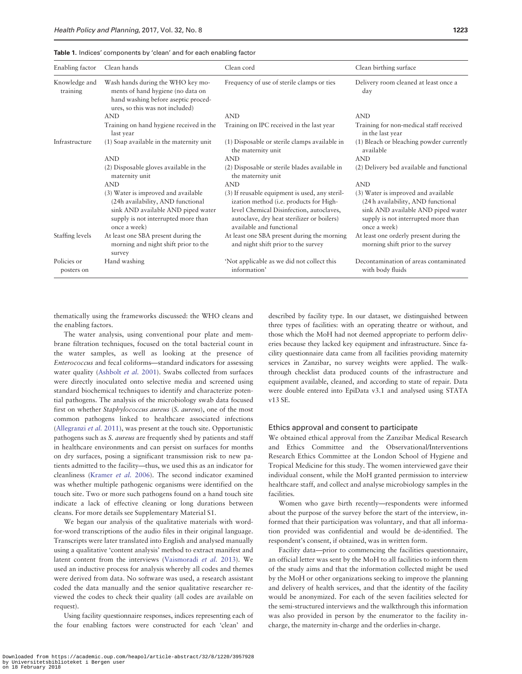<span id="page-3-0"></span>

| Enabling factor           | Clean hands                                                                                                                                                           | Clean cord                                                                                                                                                                                                      | Clean birthing surface                                                                                                                                                 |
|---------------------------|-----------------------------------------------------------------------------------------------------------------------------------------------------------------------|-----------------------------------------------------------------------------------------------------------------------------------------------------------------------------------------------------------------|------------------------------------------------------------------------------------------------------------------------------------------------------------------------|
| Knowledge and<br>training | Wash hands during the WHO key mo-<br>ments of hand hygiene (no data on<br>hand washing before aseptic proced-<br>ures, so this was not included)                      | Frequency of use of sterile clamps or ties                                                                                                                                                                      | Delivery room cleaned at least once a<br>day                                                                                                                           |
|                           | <b>AND</b>                                                                                                                                                            | <b>AND</b>                                                                                                                                                                                                      | <b>AND</b>                                                                                                                                                             |
|                           | Training on hand hygiene received in the<br>last year                                                                                                                 | Training on IPC received in the last year                                                                                                                                                                       | Training for non-medical staff received<br>in the last year                                                                                                            |
| Infrastructure            | (1) Soap available in the maternity unit                                                                                                                              | (1) Disposable or sterile clamps available in<br>the maternity unit                                                                                                                                             | (1) Bleach or bleaching powder currently<br>available                                                                                                                  |
|                           | <b>AND</b>                                                                                                                                                            | <b>AND</b>                                                                                                                                                                                                      | <b>AND</b>                                                                                                                                                             |
|                           | (2) Disposable gloves available in the<br>maternity unit                                                                                                              | (2) Disposable or sterile blades available in<br>the maternity unit                                                                                                                                             | (2) Delivery bed available and functional                                                                                                                              |
|                           | <b>AND</b>                                                                                                                                                            | <b>AND</b>                                                                                                                                                                                                      | <b>AND</b>                                                                                                                                                             |
|                           | (3) Water is improved and available<br>(24h availability, AND functional<br>sink AND available AND piped water<br>supply is not interrupted more than<br>once a week) | (3) If reusable equipment is used, any steril-<br>ization method (i.e. products for High-<br>level Chemical Disinfection, autoclaves,<br>autoclave, dry heat sterilizer or boilers)<br>available and functional | (3) Water is improved and available<br>(24 h availability, AND functional<br>sink AND available AND piped water<br>supply is not interrupted more than<br>once a week) |
| Staffing levels           | At least one SBA present during the<br>morning and night shift prior to the<br>survey                                                                                 | At least one SBA present during the morning<br>and night shift prior to the survey                                                                                                                              | At least one orderly present during the<br>morning shift prior to the survey                                                                                           |
| Policies or<br>posters on | Hand washing                                                                                                                                                          | 'Not applicable as we did not collect this<br>information'                                                                                                                                                      | Decontamination of areas contaminated<br>with body fluids                                                                                                              |

thematically using the frameworks discussed: the WHO cleans and the enabling factors.

The water analysis, using conventional pour plate and membrane filtration techniques, focused on the total bacterial count in the water samples, as well as looking at the presence of Enterococcus and fecal coliforms—standard indicators for assessing water quality [\(Ashbolt](#page-8-0) et al. 2001). Swabs collected from surfaces were directly inoculated onto selective media and screened using standard biochemical techniques to identify and characterize potential pathogens. The analysis of the microbiology swab data focused first on whether Staphylococcus aureus (S. aureus), one of the most common pathogens linked to healthcare associated infections ([Allegranzi](#page-8-0) et al. 2011), was present at the touch site. Opportunistic pathogens such as *S. aureus* are frequently shed by patients and staff in healthcare environments and can persist on surfaces for months on dry surfaces, posing a significant transmission risk to new patients admitted to the facility—thus, we used this as an indicator for cleanliness [\(Kramer](#page-8-0) et al. 2006). The second indicator examined was whether multiple pathogenic organisms were identified on the touch site. Two or more such pathogens found on a hand touch site indicate a lack of effective cleaning or long durations between cleans. For more details see Supplementary Material S1.

We began our analysis of the qualitative materials with wordfor-word transcriptions of the audio files in their original language. Transcripts were later translated into English and analysed manually using a qualitative 'content analysis' method to extract manifest and latent content from the interviews ([Vaismoradi](#page-8-0) et al. 2013). We used an inductive process for analysis whereby all codes and themes were derived from data. No software was used, a research assistant coded the data manually and the senior qualitative researcher reviewed the codes to check their quality (all codes are available on request).

Using facility questionnaire responses, indices representing each of the four enabling factors were constructed for each 'clean' and described by facility type. In our dataset, we distinguished between three types of facilities: with an operating theatre or without, and those which the MoH had not deemed appropriate to perform deliveries because they lacked key equipment and infrastructure. Since facility questionnaire data came from all facilities providing maternity services in Zanzibar, no survey weights were applied. The walkthrough checklist data produced counts of the infrastructure and equipment available, cleaned, and according to state of repair. Data were double entered into EpiData v3.1 and analysed using STATA v13 SE.

#### Ethics approval and consent to participate

We obtained ethical approval from the Zanzibar Medical Research and Ethics Committee and the Observational/Interventions Research Ethics Committee at the London School of Hygiene and Tropical Medicine for this study. The women interviewed gave their individual consent, while the MoH granted permission to interview healthcare staff, and collect and analyse microbiology samples in the facilities.

Women who gave birth recently—respondents were informed about the purpose of the survey before the start of the interview, informed that their participation was voluntary, and that all information provided was confidential and would be de-identified. The respondent's consent, if obtained, was in written form.

Facility data—prior to commencing the facilities questionnaire, an official letter was sent by the MoH to all facilities to inform them of the study aims and that the information collected might be used by the MoH or other organizations seeking to improve the planning and delivery of health services, and that the identity of the facility would be anonymized. For each of the seven facilities selected for the semi-structured interviews and the walkthrough this information was also provided in person by the enumerator to the facility incharge, the maternity in-charge and the orderlies in-charge.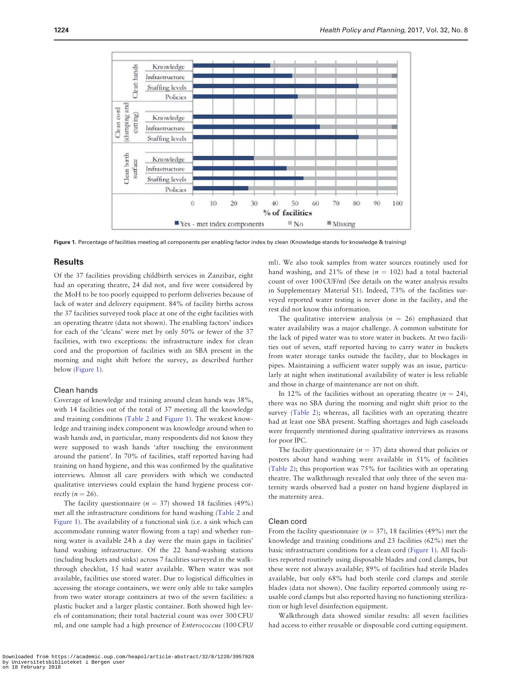<span id="page-4-0"></span>

Figure 1. Percentage of facilities meeting all components per enabling factor index by clean (Knowledge stands for knowledge & training)

## **Results**

Of the 37 facilities providing childbirth services in Zanzibar, eight had an operating theatre, 24 did not, and five were considered by the MoH to be too poorly equipped to perform deliveries because of lack of water and delivery equipment. 84% of facility births across the 37 facilities surveyed took place at one of the eight facilities with an operating theatre (data not shown). The enabling factors' indices for each of the 'cleans' were met by only 50% or fewer of the 37 facilities, with two exceptions: the infrastructure index for clean cord and the proportion of facilities with an SBA present in the morning and night shift before the survey, as described further below (Figure 1).

#### Clean hands

Coverage of knowledge and training around clean hands was 38%, with 14 facilities out of the total of 37 meeting all the knowledge and training conditions ([Table 2](#page-5-0) and Figure 1). The weakest knowledge and training index component was knowledge around when to wash hands and, in particular, many respondents did not know they were supposed to wash hands 'after touching the environment around the patient'. In 70% of facilities, staff reported having had training on hand hygiene, and this was confirmed by the qualitative interviews. Almost all care providers with which we conducted qualitative interviews could explain the hand hygiene process correctly  $(n = 26)$ .

The facility questionnaire ( $n = 37$ ) showed 18 facilities (49%) met all the infrastructure conditions for hand washing ([Table 2](#page-5-0) and Figure 1). The availability of a functional sink (i.e. a sink which can accommodate running water flowing from a tap) and whether running water is available 24 h a day were the main gaps in facilities' hand washing infrastructure. Of the 22 hand-washing stations (including buckets and sinks) across 7 facilities surveyed in the walkthrough checklist, 15 had water available. When water was not available, facilities use stored water. Due to logistical difficulties in accessing the storage containers, we were only able to take samples from two water storage containers at two of the seven facilities: a plastic bucket and a larger plastic container. Both showed high levels of contamination; their total bacterial count was over 300 CFU/ ml, and one sample had a high presence of Enterococcus (100 CFU/ ml). We also took samples from water sources routinely used for hand washing, and 21% of these  $(n = 102)$  had a total bacterial count of over 100 CUF/ml (See details on the water analysis results in Supplementary Material S1). Indeed, 73% of the facilities surveyed reported water testing is never done in the facility, and the rest did not know this information.

The qualitative interview analysis ( $n = 26$ ) emphasized that water availability was a major challenge. A common substitute for the lack of piped water was to store water in buckets. At two facilities out of seven, staff reported having to carry water in buckets from water storage tanks outside the facility, due to blockages in pipes. Maintaining a sufficient water supply was an issue, particularly at night when institutional availability of water is less reliable and those in charge of maintenance are not on shift.

In 12% of the facilities without an operating theatre  $(n = 24)$ , there was no SBA during the morning and night shift prior to the survey ([Table 2](#page-5-0)); whereas, all facilities with an operating theatre had at least one SBA present. Staffing shortages and high caseloads were frequently mentioned during qualitative interviews as reasons for poor IPC.

The facility questionnaire ( $n = 37$ ) data showed that policies or posters about hand washing were available in 51% of facilities ([Table 2](#page-5-0)); this proportion was 75% for facilities with an operating theatre. The walkthrough revealed that only three of the seven maternity wards observed had a poster on hand hygiene displayed in the maternity area.

## Clean cord

From the facility questionnaire ( $n = 37$ ), 18 facilities (49%) met the knowledge and training conditions and 23 facilities (62%) met the basic infrastructure conditions for a clean cord (Figure 1). All facilities reported routinely using disposable blades and cord clamps, but these were not always available; 89% of facilities had sterile blades available, but only 68% had both sterile cord clamps and sterile blades (data not shown). One facility reported commonly using reusable cord clamps but also reported having no functioning sterilization or high level disinfection equipment.

Walkthrough data showed similar results: all seven facilities had access to either reusable or disposable cord cutting equipment.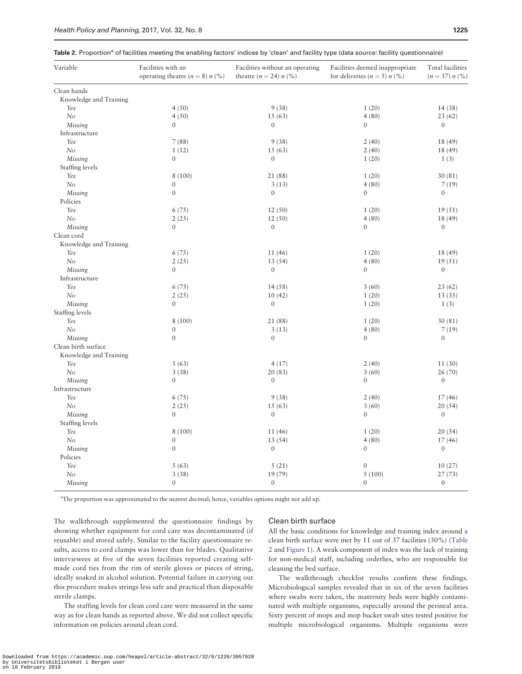<span id="page-5-0"></span>Table 2. Proportion<sup>a</sup> of facilities meeting the enabling factors' indices by 'clean' and facility type (data source: facility questionnaire)

| Variable               | Facilities with an<br>operating theatre $(n = 8) n$ (%) | Facilities without an operating<br>theatre $(n = 24) n$ (%) | Facilities deemed inappropriate<br>for deliveries $(n = 5) n$ (%) | Total facilities<br>$(n = 37) n (%)$ |
|------------------------|---------------------------------------------------------|-------------------------------------------------------------|-------------------------------------------------------------------|--------------------------------------|
| Clean hands            |                                                         |                                                             |                                                                   |                                      |
| Knowledge and Training |                                                         |                                                             |                                                                   |                                      |
| Yes                    | 4(50)                                                   | 9(38)                                                       | 1(20)                                                             | 14(38)                               |
| No                     | 4(50)                                                   | 15(63)                                                      | 4(80)                                                             | 23(62)                               |
| Missing                | $\mathbf{0}$                                            | $\boldsymbol{0}$                                            | $\mathbf{0}$                                                      | $\mathbf{0}$                         |
| Infrastructure         |                                                         |                                                             |                                                                   |                                      |
| Yes                    | 7(88)                                                   | 9(38)                                                       | 2(40)                                                             | 18 (49)                              |
| $\sqrt{N}$             | 1(12)                                                   | 15(63)                                                      | 2(40)                                                             | 18 (49)                              |
| Missing                | $\boldsymbol{0}$                                        | $\boldsymbol{0}$                                            | 1(20)                                                             | 1(3)                                 |
| Staffing levels        |                                                         |                                                             |                                                                   |                                      |
| Yes                    | 8(100)                                                  | 21 (88)                                                     | 1(20)                                                             | 30(81)                               |
| No                     | $\boldsymbol{0}$                                        | 3(13)                                                       | 4(80)                                                             | 7(19)                                |
| Missing                | $\mathbf{0}$                                            | $\mathbf{0}$                                                | $\overline{0}$                                                    | $\overline{0}$                       |
| Policies               |                                                         |                                                             |                                                                   |                                      |
| Yes                    | 6(75)                                                   | 12(50)                                                      | 1(20)                                                             | 19(51)                               |
| No                     | 2(25)                                                   | 12(50)                                                      | 4(80)                                                             | 18 (49)                              |
| Missing                | $\boldsymbol{0}$                                        | $\boldsymbol{0}$                                            | $\boldsymbol{0}$                                                  | $\mathbf{0}$                         |
| Clean cord             |                                                         |                                                             |                                                                   |                                      |
| Knowledge and Training |                                                         |                                                             |                                                                   |                                      |
| Yes                    | 6(75)                                                   | 11 (46)                                                     | 1(20)                                                             | 18 (49)                              |
| No                     | 2(25)                                                   | 13(54)                                                      | 4(80)                                                             | 19(51)                               |
| Missing                | $\mathbf{0}$                                            | $\mathbf{0}$                                                | $\mathbf{0}$                                                      | $\mathbf{0}$                         |
| Infrastructure         |                                                         |                                                             |                                                                   |                                      |
| Yes                    | 6(75)                                                   | 14(58)                                                      | 3(60)                                                             | 23(62)                               |
| No                     | 2(25)                                                   | 10(42)                                                      | 1(20)                                                             | 13(35)                               |
| Missing                | $\boldsymbol{0}$                                        | $\mathbf{0}$                                                | 1(20)                                                             | 1(3)                                 |
| Staffing levels        |                                                         |                                                             |                                                                   |                                      |
| Yes                    | 8(100)                                                  | 21 (88)                                                     | 1(20)                                                             | 30(81)                               |
| No                     | $\boldsymbol{0}$                                        | 3(13)                                                       | 4(80)                                                             | 7(19)                                |
| Missing                | $\boldsymbol{0}$                                        | $\mathbf{0}$                                                | $\mathbf{0}$                                                      | $\boldsymbol{0}$                     |
| Clean birth surface    |                                                         |                                                             |                                                                   |                                      |
| Knowledge and Training |                                                         |                                                             |                                                                   |                                      |
| Yes                    | 5(63)                                                   | 4(17)                                                       | 2(40)                                                             | 11(30)                               |
| No                     | 3(38)                                                   | 20(83)                                                      | 3(60)                                                             | 26 (70)                              |
| Missing                | $\boldsymbol{0}$                                        | $\boldsymbol{0}$                                            | $\boldsymbol{0}$                                                  | $\boldsymbol{0}$                     |
| Infrastructure         |                                                         |                                                             |                                                                   |                                      |
| Yes                    | 6(75)                                                   | 9(38)                                                       | 2(40)                                                             | 17(46)                               |
| $\sqrt{N}$             | 2(25)                                                   | 15(63)                                                      | 3(60)                                                             | 20(54)                               |
| Missing                | $\boldsymbol{0}$                                        | $\boldsymbol{0}$                                            | $\boldsymbol{0}$                                                  | $\boldsymbol{0}$                     |
| Staffing levels        |                                                         |                                                             |                                                                   |                                      |
| Yes                    | 8(100)                                                  | 11 (46)                                                     | 1(20)                                                             | 20(54)                               |
| No                     | $\boldsymbol{0}$                                        | 13 (54)                                                     | 4(80)                                                             | 17(46)                               |
| Missing                | $\boldsymbol{0}$                                        | $\boldsymbol{0}$                                            | $\boldsymbol{0}$                                                  | $\boldsymbol{0}$                     |
| Policies               |                                                         |                                                             |                                                                   |                                      |
| Yes                    | 5(63)                                                   | 5(21)                                                       | $\boldsymbol{0}$                                                  | 10(27)                               |
| No                     | 3(38)                                                   | 19 (79)                                                     | 5(100)                                                            | 27(73)                               |
| Missing                | $\boldsymbol{0}$                                        | $\boldsymbol{0}$                                            | $\boldsymbol{0}$                                                  | $\boldsymbol{0}$                     |

<sup>a</sup>The proportion was approximated to the nearest decimal; hence, variables options might not add up.

The walkthrough supplemented the questionnaire findings by showing whether equipment for cord care was decontaminated (if reusable) and stored safely. Similar to the facility questionnaire results, access to cord clamps was lower than for blades. Qualitative interviewees at five of the seven facilities reported creating selfmade cord ties from the rim of sterile gloves or pieces of string, ideally soaked in alcohol solution. Potential failure in carrying out this procedure makes strings less safe and practical than disposable sterile clamps.

The staffing levels for clean cord care were measured in the same way as for clean hands as reported above. We did not collect specific information on policies around clean cord.

# Clean birth surface

All the basic conditions for knowledge and training index around a clean birth surface were met by 11 out of 37 facilities (30%) (Table 2 and [Figure 1](#page-4-0)). A weak component of index was the lack of training for non-medical staff, including orderlies, who are responsible for cleaning the bed surface.

The walkthrough checklist results confirm these findings. Microbiological samples revealed that in six of the seven facilities where swabs were taken, the maternity beds were highly contaminated with multiple organisms, especially around the perineal area. Sixty percent of mops and mop bucket swab sites tested positive for multiple microbiological organisms. Multiple organisms were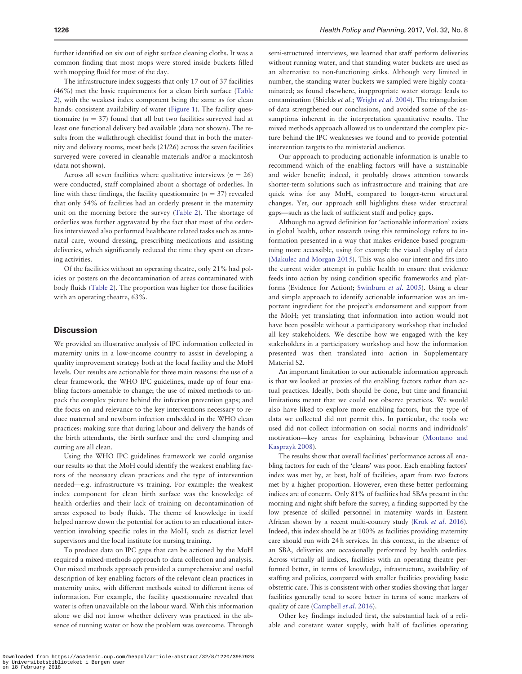further identified on six out of eight surface cleaning cloths. It was a common finding that most mops were stored inside buckets filled with mopping fluid for most of the day.

The infrastructure index suggests that only 17 out of 37 facilities (46%) met the basic requirements for a clean birth surface ([Table](#page-5-0) [2\)](#page-5-0), with the weakest index component being the same as for clean hands: consistent availability of water [\(Figure 1](#page-4-0)). The facility questionnaire ( $n = 37$ ) found that all but two facilities surveyed had at least one functional delivery bed available (data not shown). The results from the walkthrough checklist found that in both the maternity and delivery rooms, most beds (21/26) across the seven facilities surveyed were covered in cleanable materials and/or a mackintosh (data not shown).

Across all seven facilities where qualitative interviews ( $n = 26$ ) were conducted, staff complained about a shortage of orderlies. In line with these findings, the facility questionnaire ( $n = 37$ ) revealed that only 54% of facilities had an orderly present in the maternity unit on the morning before the survey ([Table 2\)](#page-5-0). The shortage of orderlies was further aggravated by the fact that most of the orderlies interviewed also performed healthcare related tasks such as antenatal care, wound dressing, prescribing medications and assisting deliveries, which significantly reduced the time they spent on cleaning activities.

Of the facilities without an operating theatre, only 21% had policies or posters on the decontamination of areas contaminated with body fluids ([Table 2](#page-5-0)). The proportion was higher for those facilities with an operating theatre, 63%.

# **Discussion**

We provided an illustrative analysis of IPC information collected in maternity units in a low-income country to assist in developing a quality improvement strategy both at the local facility and the MoH levels. Our results are actionable for three main reasons: the use of a clear framework, the WHO IPC guidelines, made up of four enabling factors amenable to change; the use of mixed methods to unpack the complex picture behind the infection prevention gaps; and the focus on and relevance to the key interventions necessary to reduce maternal and newborn infection embedded in the WHO clean practices: making sure that during labour and delivery the hands of the birth attendants, the birth surface and the cord clamping and cutting are all clean.

Using the WHO IPC guidelines framework we could organise our results so that the MoH could identify the weakest enabling factors of the necessary clean practices and the type of intervention needed—e.g. infrastructure vs training. For example: the weakest index component for clean birth surface was the knowledge of health orderlies and their lack of training on decontamination of areas exposed to body fluids. The theme of knowledge in itself helped narrow down the potential for action to an educational intervention involving specific roles in the MoH, such as district level supervisors and the local institute for nursing training.

To produce data on IPC gaps that can be actioned by the MoH required a mixed-methods approach to data collection and analysis. Our mixed methods approach provided a comprehensive and useful description of key enabling factors of the relevant clean practices in maternity units, with different methods suited to different items of information. For example, the facility questionnaire revealed that water is often unavailable on the labour ward. With this information alone we did not know whether delivery was practiced in the absence of running water or how the problem was overcome. Through

semi-structured interviews, we learned that staff perform deliveries without running water, and that standing water buckets are used as an alternative to non-functioning sinks. Although very limited in number, the standing water buckets we sampled were highly contaminated; as found elsewhere, inappropriate water storage leads to contamination (Shields et al.; [Wright](#page-8-0) et al. 2004). The triangulation of data strengthened our conclusions, and avoided some of the assumptions inherent in the interpretation quantitative results. The mixed methods approach allowed us to understand the complex picture behind the IPC weaknesses we found and to provide potential intervention targets to the ministerial audience.

Our approach to producing actionable information is unable to recommend which of the enabling factors will have a sustainable and wider benefit; indeed, it probably draws attention towards shorter-term solutions such as infrastructure and training that are quick wins for any MoH, compared to longer-term structural changes. Yet, our approach still highlights these wider structural gaps—such as the lack of sufficient staff and policy gaps.

Although no agreed definition for 'actionable information' exists in global health, other research using this terminology refers to information presented in a way that makes evidence-based programming more accessible, using for example the visual display of data ([Makulec and Morgan 2015\)](#page-8-0). This was also our intent and fits into the current wider attempt in public health to ensure that evidence feeds into action by using condition specific frameworks and platforms (Evidence for Action); [Swinburn](#page-8-0) et al. 2005). Using a clear and simple approach to identify actionable information was an important ingredient for the project's endorsement and support from the MoH; yet translating that information into action would not have been possible without a participatory workshop that included all key stakeholders. We describe how we engaged with the key stakeholders in a participatory workshop and how the information presented was then translated into action in Supplementary Material S2.

An important limitation to our actionable information approach is that we looked at proxies of the enabling factors rather than actual practices. Ideally, both should be done, but time and financial limitations meant that we could not observe practices. We would also have liked to explore more enabling factors, but the type of data we collected did not permit this. In particular, the tools we used did not collect information on social norms and individuals' motivation—key areas for explaining behaviour ([Montano and](#page-8-0) [Kasprzyk 2008\)](#page-8-0).

The results show that overall facilities' performance across all enabling factors for each of the 'cleans' was poor. Each enabling factors' index was met by, at best, half of facilities, apart from two factors met by a higher proportion. However, even these better performing indices are of concern. Only 81% of facilities had SBAs present in the morning and night shift before the survey; a finding supported by the low presence of skilled personnel in maternity wards in Eastern African shown by a recent multi-country study (Kruk [et al.](#page-8-0) 2016). Indeed, this index should be at 100% as facilities providing maternity care should run with 24h services. In this context, in the absence of an SBA, deliveries are occasionally performed by health orderlies. Across virtually all indices, facilities with an operating theatre performed better, in terms of knowledge, infrastructure, availability of staffing and policies, compared with smaller facilities providing basic obstetric care. This is consistent with other studies showing that larger facilities generally tend to score better in terms of some markers of quality of care ([Campbell](#page-8-0) et al. 2016).

Other key findings included first, the substantial lack of a reliable and constant water supply, with half of facilities operating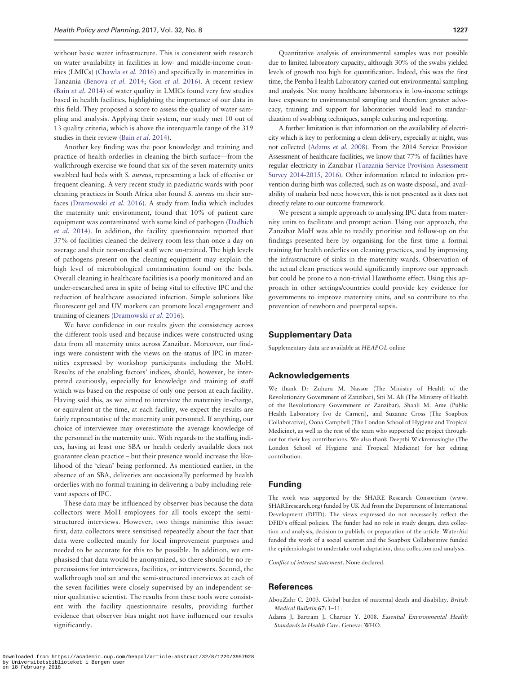<span id="page-7-0"></span>without basic water infrastructure. This is consistent with research on water availability in facilities in low- and middle-income countries (LMICs) ([Chawla](#page-8-0) et al. 2016) and specifically in maternities in Tanzania [\(Benova](#page-8-0) et al. 2014; Gon [et al.](#page-8-0) 2016). A recent review (Bain et al. [2014\)](#page-8-0) of water quality in LMICs found very few studies based in health facilities, highlighting the importance of our data in this field. They proposed a score to assess the quality of water sampling and analysis. Applying their system, our study met 10 out of 13 quality criteria, which is above the interquartile range of the 319 studies in their review (Bain et al. [2014](#page-8-0)).

Another key finding was the poor knowledge and training and practice of health orderlies in cleaning the birth surface—from the walkthrough exercise we found that six of the seven maternity units swabbed had beds with S. aureus, representing a lack of effective or frequent cleaning. A very recent study in paediatric wards with poor cleaning practices in South Africa also found S. aureus on their surfaces ([Dramowski](#page-8-0) et al. 2016). A study from India which includes the maternity unit environment, found that 10% of patient care equipment was contaminated with some kind of pathogen ([Dadhich](#page-8-0) [et al.](#page-8-0) 2014). In addition, the facility questionnaire reported that 37% of facilities cleaned the delivery room less than once a day on average and their non-medical staff were un-trained. The high levels of pathogens present on the cleaning equipment may explain the high level of microbiological contamination found on the beds. Overall cleaning in healthcare facilities is a poorly monitored and an under-researched area in spite of being vital to effective IPC and the reduction of healthcare associated infection. Simple solutions like fluorescent gel and UV markers can promote local engagement and training of cleaners [\(Dramowski](#page-8-0) et al. 2016).

We have confidence in our results given the consistency across the different tools used and because indices were constructed using data from all maternity units across Zanzibar. Moreover, our findings were consistent with the views on the status of IPC in maternities expressed by workshop participants including the MoH. Results of the enabling factors' indices, should, however, be interpreted cautiously, especially for knowledge and training of staff which was based on the response of only one person at each facility. Having said this, as we aimed to interview the maternity in-charge, or equivalent at the time, at each facility, we expect the results are fairly representative of the maternity unit personnel. If anything, our choice of interviewee may overestimate the average knowledge of the personnel in the maternity unit. With regards to the staffing indices, having at least one SBA or health orderly available does not guarantee clean practice – but their presence would increase the likelihood of the 'clean' being performed. As mentioned earlier, in the absence of an SBA, deliveries are occasionally performed by health orderlies with no formal training in delivering a baby including relevant aspects of IPC.

These data may be influenced by observer bias because the data collectors were MoH employees for all tools except the semistructured interviews. However, two things minimise this issue: first, data collectors were sensitised repeatedly about the fact that data were collected mainly for local improvement purposes and needed to be accurate for this to be possible. In addition, we emphasised that data would be anonymized, so there should be no repercussions for interviewees, facilities, or interviewers. Second, the walkthrough tool set and the semi-structured interviews at each of the seven facilities were closely supervised by an independent senior qualitative scientist. The results from these tools were consistent with the facility questionnaire results, providing further evidence that observer bias might not have influenced our results significantly.

Quantitative analysis of environmental samples was not possible due to limited laboratory capacity, although 30% of the swabs yielded levels of growth too high for quantification. Indeed, this was the first time, the Pemba Health Laboratory carried out environmental sampling and analysis. Not many healthcare laboratories in low-income settings have exposure to environmental sampling and therefore greater advocacy, training and support for laboratories would lead to standardization of swabbing techniques, sample culturing and reporting.

A further limitation is that information on the availability of electricity which is key to performing a clean delivery, especially at night, was not collected (Adams et al. 2008). From the 2014 Service Provision Assessment of healthcare facilities, we know that 77% of facilities have regular electricity in Zanzibar ([Tanzania Service Provision Assessment](#page-8-0) [Survey 2014-2015, 2016\)](#page-8-0). Other information related to infection prevention during birth was collected, such as on waste disposal, and availability of malaria bed nets; however, this is not presented as it does not directly relate to our outcome framework.

We present a simple approach to analysing IPC data from maternity units to facilitate and prompt action. Using our approach, the Zanzibar MoH was able to readily prioritise and follow-up on the findings presented here by organising for the first time a formal training for health orderlies on cleaning practices, and by improving the infrastructure of sinks in the maternity wards. Observation of the actual clean practices would significantly improve our approach but could be prone to a non-trivial Hawthorne effect. Using this approach in other settings/countries could provide key evidence for governments to improve maternity units, and so contribute to the prevention of newborn and puerperal sepsis.

#### Supplementary Data

Supplementary data are available at HEAPOL online

## Acknowledgements

We thank Dr Zuhura M. Nassor (The Ministry of Health of the Revolutionary Government of Zanzibar), Siti M. Ali (The Ministry of Health of the Revolutionary Government of Zanzibar), Shaali M. Ame (Public Health Laboratory Ivo de Carneri), and Suzanne Cross (The Soapbox Collaborative), Oona Campbell (The London School of Hygiene and Tropical Medicine), as well as the rest of the team who supported the project throughout for their key contributions. We also thank Deepthi Wickremasinghe (The London School of Hygiene and Tropical Medicine) for her editing contribution.

#### Funding

The work was supported by the SHARE Research Consortium ([www.](http://www.SHAREresearch.org) [SHAREresearch.org\)](http://www.SHAREresearch.org) funded by UK Aid from the Department of International Development (DFID). The views expressed do not necessarily reflect the DFID's official policies. The funder had no role in study design, data collection and analysis, decision to publish, or preparation of the article. WaterAid funded the work of a social scientist and the Soapbox Collaborative funded the epidemiologist to undertake tool adaptation, data collection and analysis.

Conflict of interest statement. None declared.

## References

- AbouZahr C. 2003. Global burden of maternal death and disability. British Medical Bulletin 67: 1–11.
- Adams J, Bartram J, Chartier Y. 2008. Essential Environmental Health Standards in Health Care. Geneva: WHO.